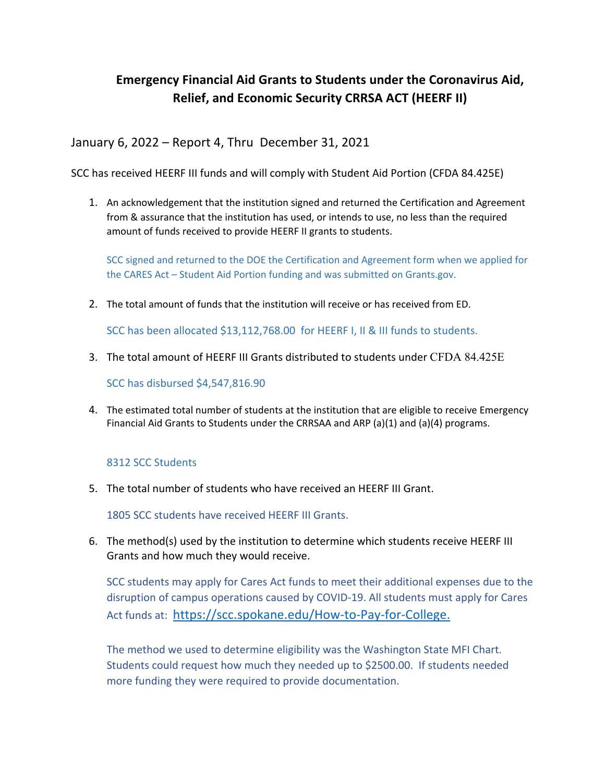## **Emergency Financial Aid Grants to Students under the Coronavirus Aid, Relief, and Economic Security CRRSA ACT (HEERF II)**

January 6, 2022 – Report 4, Thru December 31, 2021

SCC has received HEERF III funds and will comply with Student Aid Portion (CFDA 84.425E)

1. An acknowledgement that the institution signed and returned the Certification and Agreement from & assurance that the institution has used, or intends to use, no less than the required amount of funds received to provide HEERF II grants to students.

SCC signed and returned to the DOE the Certification and Agreement form when we applied for the CARES Act – Student Aid Portion funding and was submitted on Grants.gov.

2. The total amount of funds that the institution will receive or has received from ED.

SCC has been allocated \$13,112,768.00 for HEERF I, II & III funds to students.

3. The total amount of HEERF III Grants distributed to students under CFDA 84.425E

SCC has disbursed \$4,547,816.90

4. The estimated total number of students at the institution that are eligible to receive Emergency Financial Aid Grants to Students under the CRRSAA and ARP (a)(1) and (a)(4) programs.

## 8312 SCC Students

5. The total number of students who have received an HEERF III Grant.

1805 SCC students have received HEERF III Grants.

6. The method(s) used by the institution to determine which students receive HEERF III Grants and how much they would receive.

SCC students may apply for Cares Act funds to meet their additional expenses due to the disruption of campus operations caused by COVID-19. All students must apply for Cares Act funds at: https://scc.spokane.edu/How-to-Pay-for-College.

The method we used to determine eligibility was the Washington State MFI Chart. Students could request how much they needed up to \$2500.00. If students needed more funding they were required to provide documentation.